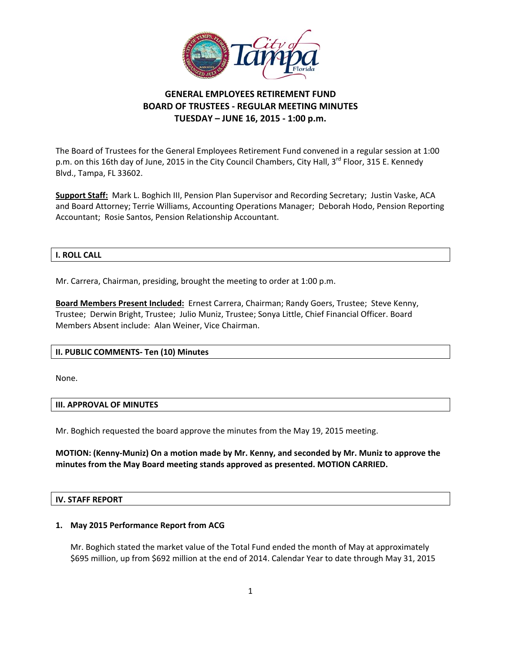

# **GENERAL EMPLOYEES RETIREMENT FUND BOARD OF TRUSTEES ‐ REGULAR MEETING MINUTES TUESDAY – JUNE 16, 2015 ‐ 1:00 p.m.**

 The Board of Trustees for the General Employees Retirement Fund convened in a regular session at 1:00 p.m. on this 16th day of June, 2015 in the City Council Chambers, City Hall, 3<sup>rd</sup> Floor, 315 E. Kennedy Blvd., Tampa, FL 33602.

 **Support Staff:** Mark L. Boghich III, Pension Plan Supervisor and Recording Secretary; Justin Vaske, ACA and Board Attorney; Terrie Williams, Accounting Operations Manager; Deborah Hodo, Pension Reporting Accountant; Rosie Santos, Pension Relationship Accountant.

#### **I. ROLL CALL**

Mr. Carrera, Chairman, presiding, brought the meeting to order at 1:00 p.m.

 **Board Members Present Included:** Ernest Carrera, Chairman; Randy Goers, Trustee; Steve Kenny, Trustee; Derwin Bright, Trustee; Julio Muniz, Trustee; Sonya Little, Chief Financial Officer. Board Members Absent include: Alan Weiner, Vice Chairman.

### **II. PUBLIC COMMENTS‐ Ten (10) Minutes**

None.

#### **III. APPROVAL OF MINUTES**

Mr. Boghich requested the board approve the minutes from the May 19, 2015 meeting.

MOTION: (Kenny-Muniz) On a motion made by Mr. Kenny, and seconded by Mr. Muniz to approve the  **minutes from the May Board meeting stands approved as presented. MOTION CARRIED.**

### **IV. STAFF REPORT**

#### **1. May 2015 Performance Report from ACG**

 Mr. Boghich stated the market value of the Total Fund ended the month of May at approximately \$695 million, up from \$692 million at the end of 2014. Calendar Year to date through May 31, 2015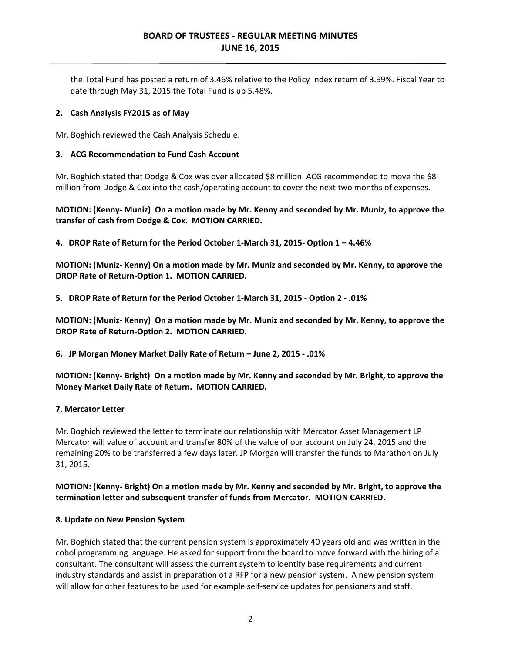# **BOARD OF TRUSTEES ‐ REGULAR MEETING MINUTES JUNE 16, 2015**

 the Total Fund has posted a return of 3.46% relative to the Policy Index return of 3.99%. Fiscal Year to date through May 31, 2015 the Total Fund is up 5.48%.

### **2. Cash Analysis FY2015 as of May**

Mr. Boghich reviewed the Cash Analysis Schedule.

### **3. ACG Recommendation to Fund Cash Account**

 Mr. Boghich stated that Dodge & Cox was over allocated \$8 million. ACG recommended to move the \$8 million from Dodge & Cox into the cash/operating account to cover the next two months of expenses.

MOTION: (Kenny- Muniz) On a motion made by Mr. Kenny and seconded by Mr. Muniz, to approve the  **transfer of cash from Dodge & Cox. MOTION CARRIED.**

4. DROP Rate of Return for the Period October 1-March 31, 2015- Option 1 - 4.46%

MOTION: (Muniz- Kenny) On a motion made by Mr. Muniz and seconded by Mr. Kenny, to approve the  **DROP Rate of Return‐Option 1. MOTION CARRIED.**

5. DROP Rate of Return for the Period October 1-March 31, 2015 - Option 2 - .01%

MOTION: (Muniz- Kenny) On a motion made by Mr. Muniz and seconded by Mr. Kenny, to approve the  **DROP Rate of Return‐Option 2. MOTION CARRIED.**

 **6. JP Morgan Money Market Daily Rate of Return – June 2, 2015 ‐ .01%**

MOTION: (Kenny- Bright) On a motion made by Mr. Kenny and seconded by Mr. Bright, to approve the  **Money Market Daily Rate of Return. MOTION CARRIED.**

### **7. Mercator Letter**

 Mr. Boghich reviewed the letter to terminate our relationship with Mercator Asset Management LP Mercator will value of account and transfer 80% of the value of our account on July 24, 2015 and the remaining 20% to be transferred a few days later. JP Morgan will transfer the funds to Marathon on July 31, 2015.

## MOTION: (Kenny- Bright) On a motion made by Mr. Kenny and seconded by Mr. Bright, to approve the  **termination letter and subsequent transfer of funds from Mercator. MOTION CARRIED.**

#### **8. Update on New Pension System**

 Mr. Boghich stated that the current pension system is approximately 40 years old and was written in the cobol programming language. He asked for support from the board to move forward with the hiring of a consultant. The consultant will assess the current system to identify base requirements and current industry standards and assist in preparation of a RFP for a new pension system. A new pension system will allow for other features to be used for example self‐service updates for pensioners and staff.